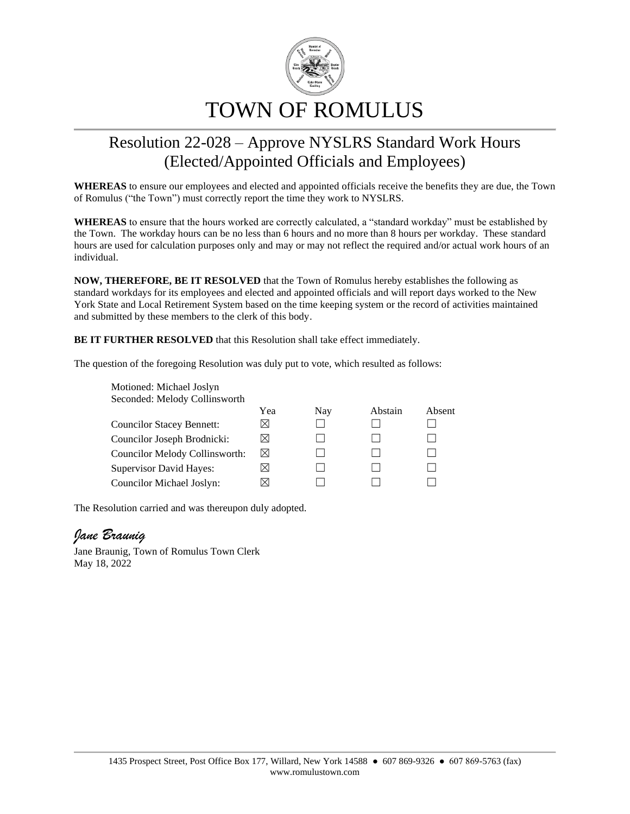

## Resolution 22-028 – Approve NYSLRS Standard Work Hours (Elected/Appointed Officials and Employees)

**WHEREAS** to ensure our employees and elected and appointed officials receive the benefits they are due, the Town of Romulus ("the Town") must correctly report the time they work to NYSLRS.

**WHEREAS** to ensure that the hours worked are correctly calculated, a "standard workday" must be established by the Town. The workday hours can be no less than 6 hours and no more than 8 hours per workday. These standard hours are used for calculation purposes only and may or may not reflect the required and/or actual work hours of an individual.

**NOW, THEREFORE, BE IT RESOLVED** that the Town of Romulus hereby establishes the following as standard workdays for its employees and elected and appointed officials and will report days worked to the New York State and Local Retirement System based on the time keeping system or the record of activities maintained and submitted by these members to the clerk of this body.

**BE IT FURTHER RESOLVED** that this Resolution shall take effect immediately.

The question of the foregoing Resolution was duly put to vote, which resulted as follows:

| Motioned: Michael Joslyn         |           |     |         |        |
|----------------------------------|-----------|-----|---------|--------|
| Seconded: Melody Collinsworth    |           |     |         |        |
|                                  | Yea       | Nay | Abstain | Absent |
| <b>Councilor Stacey Bennett:</b> | ⋈         |     |         |        |
| Councilor Joseph Brodnicki:      | $\bowtie$ |     |         |        |
| Councilor Melody Collinsworth:   | $\bowtie$ |     |         |        |
| <b>Supervisor David Hayes:</b>   | ⋊         |     |         |        |
| Councilor Michael Joslyn:        |           |     |         |        |

The Resolution carried and was thereupon duly adopted.

## *Jane Braunig*

Jane Braunig, Town of Romulus Town Clerk May 18, 2022